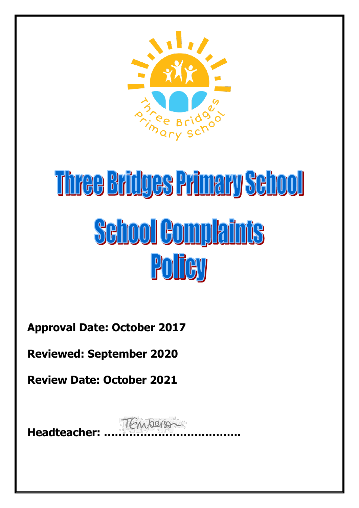

# Three Bridges Primary School **School Complaints** Policy

**Approval Date: October 2017**

**Reviewed: September 2020**

**Review Date: October 2021**

**Headteacher: ………………………………..**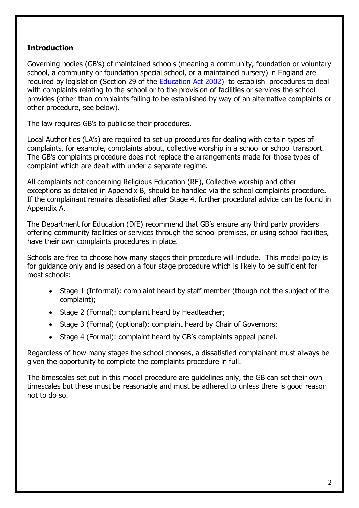## **Introduction**

Governing bodies (GB's) of maintained schools (meaning a community, foundation or voluntary school, a community or foundation special school, or a maintained nursery) in England are required by legislation (Section 29 of the **Education Act 2002)** to establish procedures to deal with complaints relating to the school or to the provision of facilities or services the school provides (other than complaints falling to be established by way of an alternative complaints or other procedure, see below).

The law requires GB's to publicise their procedures.

Local Authorities (LA's) are required to set up procedures for dealing with certain types of complaints, for example, complaints about, collective worship in a school or school transport. The GB's complaints procedure does not replace the arrangements made for those types of complaint which are dealt with under a separate regime.

All complaints not concerning Religious Education (RE), Collective worship and other exceptions as detailed in Appendix B, should be handled via the school complaints procedure. If the complainant remains dissatisfied after Stage 4, further procedural advice can be found in Appendix A.

The Department for Education (DfE) recommend that GB's ensure any third party providers offering community facilities or services through the school premises, or using school facilities, have their own complaints procedures in place.

Schools are free to choose how many stages their procedure will include. This model policy is for guidance only and is based on a four stage procedure which is likely to be sufficient for most schools:

- Stage 1 (Informal): complaint heard by staff member (though not the subject of the complaint);
- Stage 2 (Formal): complaint heard by Headteacher;
- Stage 3 (Formal) (optional): complaint heard by Chair of Governors;
- Stage 4 (Formal): complaint heard by GB's complaints appeal panel.

Regardless of how many stages the school chooses, a dissatisfied complainant must always be given the opportunity to complete the complaints procedure in full.

The timescales set out in this model procedure are guidelines only, the GB can set their own timescales but these must be reasonable and must be adhered to unless there is good reason not to do so.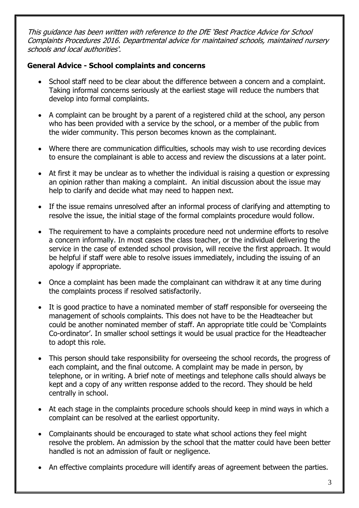This guidance has been written with reference to the DfE 'Best Practice Advice for School Complaints Procedures 2016. Departmental advice for maintained schools, maintained nursery schools and local authorities'.

## **General Advice - School complaints and concerns**

- School staff need to be clear about the difference between a concern and a complaint. Taking informal concerns seriously at the earliest stage will reduce the numbers that develop into formal complaints.
- A complaint can be brought by a parent of a registered child at the school, any person who has been provided with a service by the school, or a member of the public from the wider community. This person becomes known as the complainant.
- Where there are communication difficulties, schools may wish to use recording devices to ensure the complainant is able to access and review the discussions at a later point.
- At first it may be unclear as to whether the individual is raising a question or expressing an opinion rather than making a complaint. An initial discussion about the issue may help to clarify and decide what may need to happen next.
- If the issue remains unresolved after an informal process of clarifying and attempting to resolve the issue, the initial stage of the formal complaints procedure would follow.
- The requirement to have a complaints procedure need not undermine efforts to resolve a concern informally. In most cases the class teacher, or the individual delivering the service in the case of extended school provision, will receive the first approach. It would be helpful if staff were able to resolve issues immediately, including the issuing of an apology if appropriate.
- Once a complaint has been made the complainant can withdraw it at any time during the complaints process if resolved satisfactorily.
- It is good practice to have a nominated member of staff responsible for overseeing the management of schools complaints. This does not have to be the Headteacher but could be another nominated member of staff. An appropriate title could be 'Complaints Co-ordinator'. In smaller school settings it would be usual practice for the Headteacher to adopt this role.
- This person should take responsibility for overseeing the school records, the progress of each complaint, and the final outcome. A complaint may be made in person, by telephone, or in writing. A brief note of meetings and telephone calls should always be kept and a copy of any written response added to the record. They should be held centrally in school.
- At each stage in the complaints procedure schools should keep in mind ways in which a complaint can be resolved at the earliest opportunity.
- Complainants should be encouraged to state what school actions they feel might resolve the problem. An admission by the school that the matter could have been better handled is not an admission of fault or negligence.
- An effective complaints procedure will identify areas of agreement between the parties.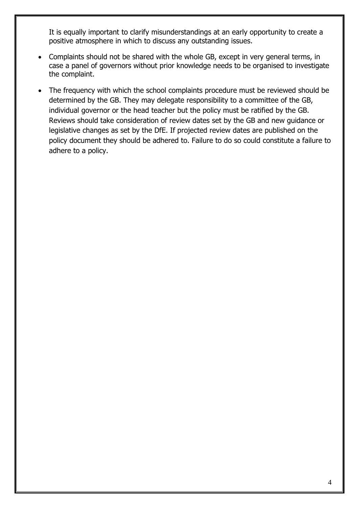It is equally important to clarify misunderstandings at an early opportunity to create a positive atmosphere in which to discuss any outstanding issues.

- Complaints should not be shared with the whole GB, except in very general terms, in case a panel of governors without prior knowledge needs to be organised to investigate the complaint.
- The frequency with which the school complaints procedure must be reviewed should be determined by the GB. They may delegate responsibility to a committee of the GB, individual governor or the head teacher but the policy must be ratified by the GB. Reviews should take consideration of review dates set by the GB and new guidance or legislative changes as set by the DfE. If projected review dates are published on the policy document they should be adhered to. Failure to do so could constitute a failure to adhere to a policy.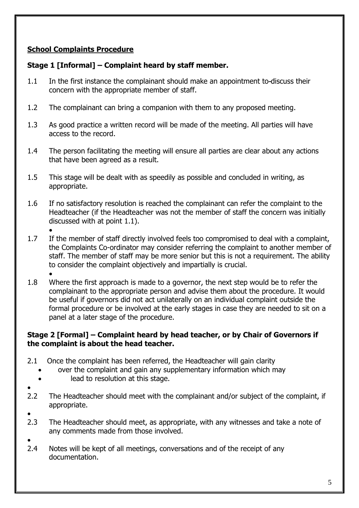## **School Complaints Procedure**

## **Stage 1 [Informal] – Complaint heard by staff member.**

- 1.1 In the first instance the complainant should make an appointment to discuss their concern with the appropriate member of staff.
- 1.2 The complainant can bring a companion with them to any proposed meeting.
- 1.3 As good practice a written record will be made of the meeting. All parties will have access to the record.
- 1.4 The person facilitating the meeting will ensure all parties are clear about any actions that have been agreed as a result.
- 1.5 This stage will be dealt with as speedily as possible and concluded in writing, as appropriate.
- 1.6 If no satisfactory resolution is reached the complainant can refer the complaint to the Headteacher (if the Headteacher was not the member of staff the concern was initially discussed with at point 1.1).
- $\bullet$ 1.7 If the member of staff directly involved feels too compromised to deal with a complaint, the Complaints Co-ordinator may consider referring the complaint to another member of staff. The member of staff may be more senior but this is not a requirement. The ability to consider the complaint objectively and impartially is crucial.
- $\bullet$ 1.8 Where the first approach is made to a governor, the next step would be to refer the complainant to the appropriate person and advise them about the procedure. It would be useful if governors did not act unilaterally on an individual complaint outside the formal procedure or be involved at the early stages in case they are needed to sit on a panel at a later stage of the procedure.

#### **Stage 2 [Formal] – Complaint heard by head teacher, or by Chair of Governors if the complaint is about the head teacher.**

- 2.1 Once the complaint has been referred, the Headteacher will gain clarity
	- over the complaint and gain any supplementary information which may
	- lead to resolution at this stage.
- $\bullet$ 2.2 The Headteacher should meet with the complainant and/or subject of the complaint, if appropriate.
- $\bullet$
- 2.3 The Headteacher should meet, as appropriate, with any witnesses and take a note of any comments made from those involved.
- $\bullet$ 2.4 Notes will be kept of all meetings, conversations and of the receipt of any documentation.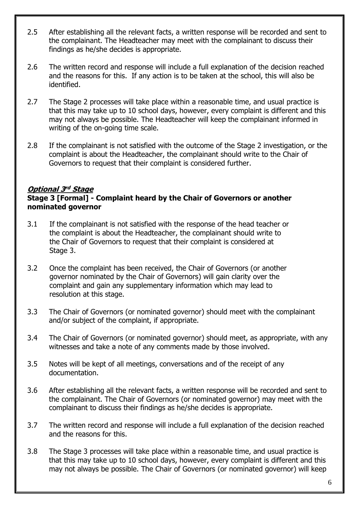- 2.5 After establishing all the relevant facts, a written response will be recorded and sent to the complainant. The Headteacher may meet with the complainant to discuss their findings as he/she decides is appropriate.
- 2.6 The written record and response will include a full explanation of the decision reached and the reasons for this. If any action is to be taken at the school, this will also be identified.
- 2.7 The Stage 2 processes will take place within a reasonable time, and usual practice is that this may take up to 10 school days, however, every complaint is different and this may not always be possible. The Headteacher will keep the complainant informed in writing of the on-going time scale.
- 2.8 If the complainant is not satisfied with the outcome of the Stage 2 investigation, or the complaint is about the Headteacher, the complainant should write to the Chair of Governors to request that their complaint is considered further.

## **Optional 3 rd Stage**

#### **Stage 3 [Formal] - Complaint heard by the Chair of Governors or another nominated governor**

- 3.1 If the complainant is not satisfied with the response of the head teacher or the complaint is about the Headteacher, the complainant should write to the Chair of Governors to request that their complaint is considered at Stage 3.
- 3.2 Once the complaint has been received, the Chair of Governors (or another governor nominated by the Chair of Governors) will gain clarity over the complaint and gain any supplementary information which may lead to resolution at this stage.
- 3.3 The Chair of Governors (or nominated governor) should meet with the complainant and/or subject of the complaint, if appropriate.
- 3.4 The Chair of Governors (or nominated governor) should meet, as appropriate, with any witnesses and take a note of any comments made by those involved.
- 3.5 Notes will be kept of all meetings, conversations and of the receipt of any documentation.
- 3.6 After establishing all the relevant facts, a written response will be recorded and sent to the complainant. The Chair of Governors (or nominated governor) may meet with the complainant to discuss their findings as he/she decides is appropriate.
- 3.7 The written record and response will include a full explanation of the decision reached and the reasons for this.
- 3.8 The Stage 3 processes will take place within a reasonable time, and usual practice is that this may take up to 10 school days, however, every complaint is different and this may not always be possible. The Chair of Governors (or nominated governor) will keep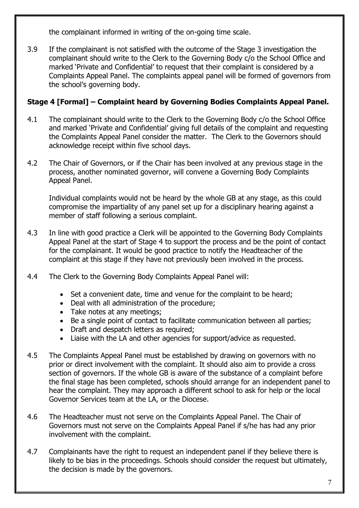the complainant informed in writing of the on-going time scale.

3.9 If the complainant is not satisfied with the outcome of the Stage 3 investigation the complainant should write to the Clerk to the Governing Body c/o the School Office and marked 'Private and Confidential' to request that their complaint is considered by a Complaints Appeal Panel. The complaints appeal panel will be formed of governors from the school's governing body.

## **Stage 4 [Formal] – Complaint heard by Governing Bodies Complaints Appeal Panel.**

- 4.1 The complainant should write to the Clerk to the Governing Body c/o the School Office and marked 'Private and Confidential' giving full details of the complaint and requesting the Complaints Appeal Panel consider the matter. The Clerk to the Governors should acknowledge receipt within five school days.
- 4.2 The Chair of Governors, or if the Chair has been involved at any previous stage in the process, another nominated governor, will convene a Governing Body Complaints Appeal Panel.

Individual complaints would not be heard by the whole GB at any stage, as this could compromise the impartiality of any panel set up for a disciplinary hearing against a member of staff following a serious complaint.

- 4.3 In line with good practice a Clerk will be appointed to the Governing Body Complaints Appeal Panel at the start of Stage 4 to support the process and be the point of contact for the complainant. It would be good practice to notify the Headteacher of the complaint at this stage if they have not previously been involved in the process.
- 4.4 The Clerk to the Governing Body Complaints Appeal Panel will:
	- Set a convenient date, time and venue for the complaint to be heard;
	- Deal with all administration of the procedure;
	- Take notes at any meetings;
	- Be a single point of contact to facilitate communication between all parties;
	- Draft and despatch letters as required;
	- Liaise with the LA and other agencies for support/advice as requested.
- 4.5 The Complaints Appeal Panel must be established by drawing on governors with no prior or direct involvement with the complaint. It should also aim to provide a cross section of governors. If the whole GB is aware of the substance of a complaint before the final stage has been completed, schools should arrange for an independent panel to hear the complaint. They may approach a different school to ask for help or the local Governor Services team at the LA, or the Diocese.
- 4.6 The Headteacher must not serve on the Complaints Appeal Panel. The Chair of Governors must not serve on the Complaints Appeal Panel if s/he has had any prior involvement with the complaint.
- 4.7 Complainants have the right to request an independent panel if they believe there is likely to be bias in the proceedings. Schools should consider the request but ultimately, the decision is made by the governors.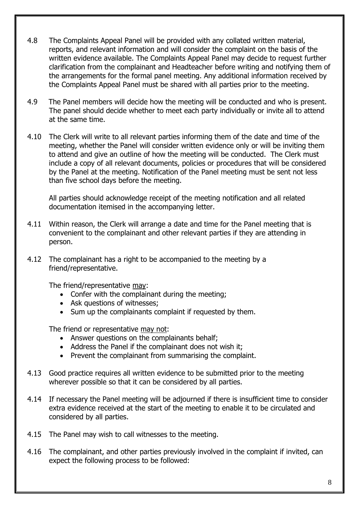- 4.8 The Complaints Appeal Panel will be provided with any collated written material, reports, and relevant information and will consider the complaint on the basis of the written evidence available. The Complaints Appeal Panel may decide to request further clarification from the complainant and Headteacher before writing and notifying them of the arrangements for the formal panel meeting. Any additional information received by the Complaints Appeal Panel must be shared with all parties prior to the meeting.
- 4.9 The Panel members will decide how the meeting will be conducted and who is present. The panel should decide whether to meet each party individually or invite all to attend at the same time.
- 4.10 The Clerk will write to all relevant parties informing them of the date and time of the meeting, whether the Panel will consider written evidence only or will be inviting them to attend and give an outline of how the meeting will be conducted. The Clerk must include a copy of all relevant documents, policies or procedures that will be considered by the Panel at the meeting. Notification of the Panel meeting must be sent not less than five school days before the meeting.

All parties should acknowledge receipt of the meeting notification and all related documentation itemised in the accompanying letter.

- 4.11 Within reason, the Clerk will arrange a date and time for the Panel meeting that is convenient to the complainant and other relevant parties if they are attending in person.
- 4.12 The complainant has a right to be accompanied to the meeting by a friend/representative.

The friend/representative may:

- Confer with the complainant during the meeting;
- Ask questions of witnesses:
- Sum up the complainants complaint if requested by them.

The friend or representative may not:

- Answer questions on the complainants behalf;
- Address the Panel if the complainant does not wish it:
- Prevent the complainant from summarising the complaint.
- 4.13 Good practice requires all written evidence to be submitted prior to the meeting wherever possible so that it can be considered by all parties.
- 4.14 If necessary the Panel meeting will be adjourned if there is insufficient time to consider extra evidence received at the start of the meeting to enable it to be circulated and considered by all parties.
- 4.15 The Panel may wish to call witnesses to the meeting.
- 4.16 The complainant, and other parties previously involved in the complaint if invited, can expect the following process to be followed: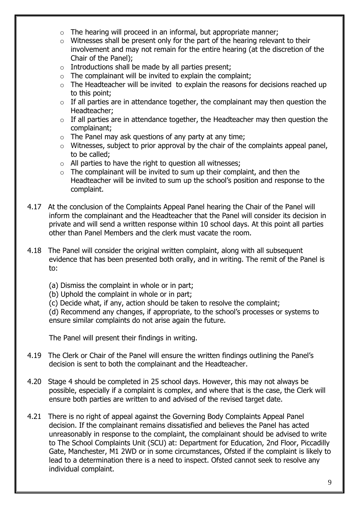- $\circ$  The hearing will proceed in an informal, but appropriate manner;
- o Witnesses shall be present only for the part of the hearing relevant to their involvement and may not remain for the entire hearing (at the discretion of the Chair of the Panel);
- $\circ$  Introductions shall be made by all parties present;
- $\circ$  The complainant will be invited to explain the complaint;
- $\circ$  The Headteacher will be invited to explain the reasons for decisions reached up to this point;
- $\circ$  If all parties are in attendance together, the complainant may then question the Headteacher;
- $\circ$  If all parties are in attendance together, the Headteacher may then question the complainant;
- $\circ$  The Panel may ask questions of any party at any time;
- $\circ$  Witnesses, subject to prior approval by the chair of the complaints appeal panel, to be called;
- o All parties to have the right to question all witnesses;
- $\circ$  The complainant will be invited to sum up their complaint, and then the Headteacher will be invited to sum up the school's position and response to the complaint.
- 4.17 At the conclusion of the Complaints Appeal Panel hearing the Chair of the Panel will inform the complainant and the Headteacher that the Panel will consider its decision in private and will send a written response within 10 school days. At this point all parties other than Panel Members and the clerk must vacate the room.
- 4.18 The Panel will consider the original written complaint, along with all subsequent evidence that has been presented both orally, and in writing. The remit of the Panel is to:
	- (a) Dismiss the complaint in whole or in part;
	- (b) Uphold the complaint in whole or in part;
	- (c) Decide what, if any, action should be taken to resolve the complaint;

(d) Recommend any changes, if appropriate, to the school's processes or systems to ensure similar complaints do not arise again the future.

The Panel will present their findings in writing.

- 4.19 The Clerk or Chair of the Panel will ensure the written findings outlining the Panel's decision is sent to both the complainant and the Headteacher.
- 4.20 Stage 4 should be completed in 25 school days. However, this may not always be possible, especially if a complaint is complex, and where that is the case, the Clerk will ensure both parties are written to and advised of the revised target date.
- 4.21 There is no right of appeal against the Governing Body Complaints Appeal Panel decision. If the complainant remains dissatisfied and believes the Panel has acted unreasonably in response to the complaint, the complainant should be advised to write to The School Complaints Unit (SCU) at: Department for Education, 2nd Floor, Piccadilly Gate, Manchester, M1 2WD or in some circumstances, Ofsted if the complaint is likely to lead to a determination there is a need to inspect. Ofsted cannot seek to resolve any individual complaint.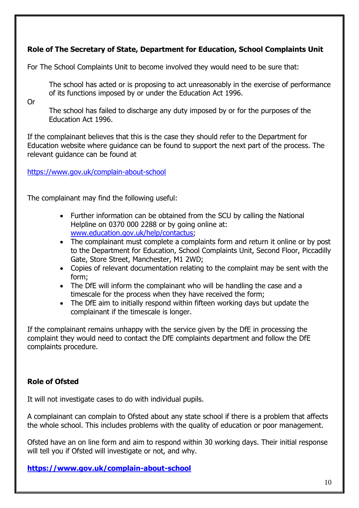## **Role of The Secretary of State, Department for Education, School Complaints Unit**

For The School Complaints Unit to become involved they would need to be sure that:

The school has acted or is proposing to act unreasonably in the exercise of performance of its functions imposed by or under the Education Act 1996.

#### Or

The school has failed to discharge any duty imposed by or for the purposes of the Education Act 1996.

If the complainant believes that this is the case they should refer to the Department for Education website where guidance can be found to support the next part of the process. The relevant guidance can be found at

<https://www.gov.uk/complain-about-school>

The complainant may find the following useful:

- Further information can be obtained from the SCU by calling the National Helpline on 0370 000 2288 or by going online at: [www.education.gov.uk/help/contactus;](http://www.education.gov.uk/help/contactus)
- The complainant must complete a complaints form and return it online or by post to the Department for Education, School Complaints Unit, Second Floor, Piccadilly Gate, Store Street, Manchester, M1 2WD;
- Copies of relevant documentation relating to the complaint may be sent with the form;
- The DfE will inform the complainant who will be handling the case and a timescale for the process when they have received the form;
- The DfE aim to initially respond within fifteen working days but update the complainant if the timescale is longer.

If the complainant remains unhappy with the service given by the DfE in processing the complaint they would need to contact the DfE complaints department and follow the DfE complaints procedure.

#### **Role of Ofsted**

It will not investigate cases to do with individual pupils.

A complainant can complain to Ofsted about any state school if there is a problem that affects the whole school. This includes problems with the quality of education or poor management.

Ofsted have an on line form and aim to respond within 30 working days. Their initial response will tell you if Ofsted will investigate or not, and why.

**<https://www.gov.uk/complain-about-school>**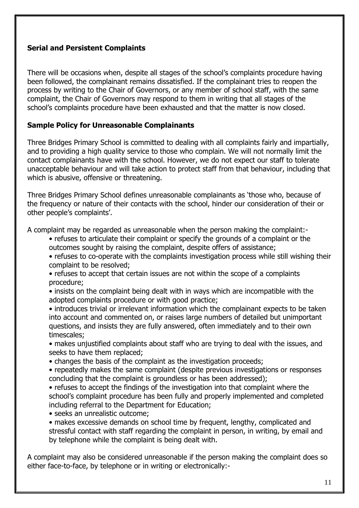#### **Serial and Persistent Complaints**

There will be occasions when, despite all stages of the school's complaints procedure having been followed, the complainant remains dissatisfied. If the complainant tries to reopen the process by writing to the Chair of Governors, or any member of school staff, with the same complaint, the Chair of Governors may respond to them in writing that all stages of the school's complaints procedure have been exhausted and that the matter is now closed.

#### **Sample Policy for Unreasonable Complainants**

Three Bridges Primary School is committed to dealing with all complaints fairly and impartially, and to providing a high quality service to those who complain. We will not normally limit the contact complainants have with the school. However, we do not expect our staff to tolerate unacceptable behaviour and will take action to protect staff from that behaviour, including that which is abusive, offensive or threatening.

Three Bridges Primary School defines unreasonable complainants as 'those who, because of the frequency or nature of their contacts with the school, hinder our consideration of their or other people's complaints'.

A complaint may be regarded as unreasonable when the person making the complaint:-

- refuses to articulate their complaint or specify the grounds of a complaint or the outcomes sought by raising the complaint, despite offers of assistance;
- refuses to co-operate with the complaints investigation process while still wishing their complaint to be resolved;
- refuses to accept that certain issues are not within the scope of a complaints procedure;
- insists on the complaint being dealt with in ways which are incompatible with the adopted complaints procedure or with good practice;
- introduces trivial or irrelevant information which the complainant expects to be taken into account and commented on, or raises large numbers of detailed but unimportant questions, and insists they are fully answered, often immediately and to their own timescales;
- makes unjustified complaints about staff who are trying to deal with the issues, and seeks to have them replaced;
- changes the basis of the complaint as the investigation proceeds;
- repeatedly makes the same complaint (despite previous investigations or responses concluding that the complaint is groundless or has been addressed);
- refuses to accept the findings of the investigation into that complaint where the school's complaint procedure has been fully and properly implemented and completed including referral to the Department for Education;

• seeks an unrealistic outcome;

• makes excessive demands on school time by frequent, lengthy, complicated and stressful contact with staff regarding the complaint in person, in writing, by email and by telephone while the complaint is being dealt with.

A complaint may also be considered unreasonable if the person making the complaint does so either face-to-face, by telephone or in writing or electronically:-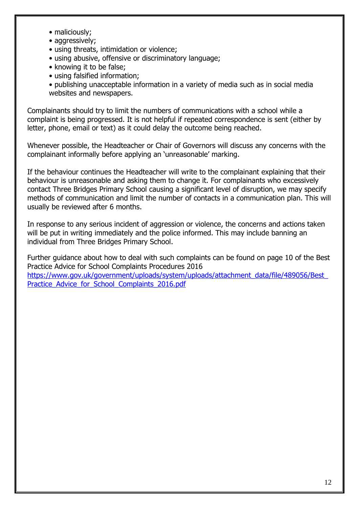- maliciously;
- aggressively;
- using threats, intimidation or violence;
- using abusive, offensive or discriminatory language;
- knowing it to be false;
- using falsified information;

• publishing unacceptable information in a variety of media such as in social media websites and newspapers.

Complainants should try to limit the numbers of communications with a school while a complaint is being progressed. It is not helpful if repeated correspondence is sent (either by letter, phone, email or text) as it could delay the outcome being reached.

Whenever possible, the Headteacher or Chair of Governors will discuss any concerns with the complainant informally before applying an 'unreasonable' marking.

If the behaviour continues the Headteacher will write to the complainant explaining that their behaviour is unreasonable and asking them to change it. For complainants who excessively contact Three Bridges Primary School causing a significant level of disruption, we may specify methods of communication and limit the number of contacts in a communication plan. This will usually be reviewed after 6 months.

In response to any serious incident of aggression or violence, the concerns and actions taken will be put in writing immediately and the police informed. This may include banning an individual from Three Bridges Primary School.

Further guidance about how to deal with such complaints can be found on page 10 of the Best Practice Advice for School Complaints Procedures 2016 [https://www.gov.uk/government/uploads/system/uploads/attachment\\_data/file/489056/Best\\_](https://www.gov.uk/government/uploads/system/uploads/attachment_data/file/489056/Best_Practice_Advice_for_School_Complaints_2016.pdf) Practice Advice for School Complaints 2016.pdf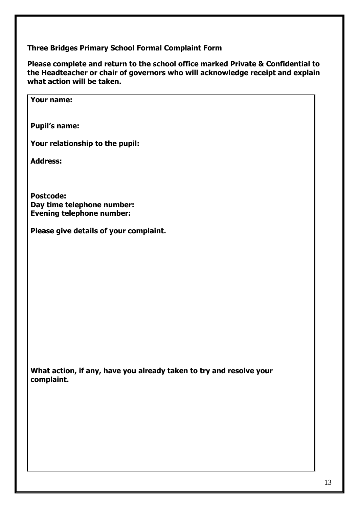**Three Bridges Primary School Formal Complaint Form**

**Please complete and return to the school office marked Private & Confidential to the Headteacher or chair of governors who will acknowledge receipt and explain what action will be taken.**

**Your name:**

**Pupil's name:**

**Your relationship to the pupil:**

**Address:**

**Postcode: Day time telephone number: Evening telephone number:**

**Please give details of your complaint.**

**What action, if any, have you already taken to try and resolve your complaint.**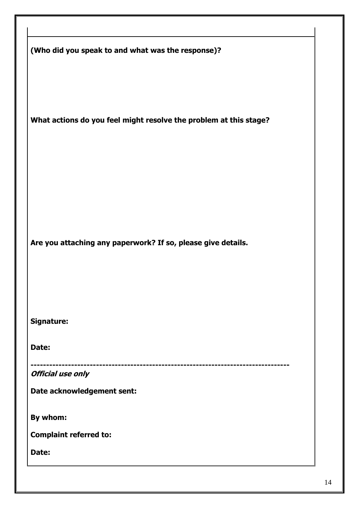| (Who did you speak to and what was the response)?                 |
|-------------------------------------------------------------------|
| What actions do you feel might resolve the problem at this stage? |
| Are you attaching any paperwork? If so, please give details.      |
| <b>Signature:</b>                                                 |
| Date:                                                             |
| <b>Official use only</b>                                          |
| Date acknowledgement sent:                                        |
| By whom:                                                          |
| <b>Complaint referred to:</b>                                     |
| Date:                                                             |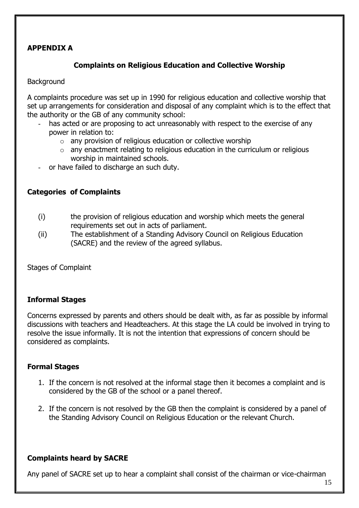## **APPENDIX A**

#### **Complaints on Religious Education and Collective Worship**

#### **Background**

A complaints procedure was set up in 1990 for religious education and collective worship that set up arrangements for consideration and disposal of any complaint which is to the effect that the authority or the GB of any community school:

- has acted or are proposing to act unreasonably with respect to the exercise of any power in relation to:
	- $\circ$  any provision of religious education or collective worship
	- o any enactment relating to religious education in the curriculum or religious worship in maintained schools.
- or have failed to discharge an such duty.

#### **Categories of Complaints**

- (i) the provision of religious education and worship which meets the general requirements set out in acts of parliament.
- (ii) The establishment of a Standing Advisory Council on Religious Education (SACRE) and the review of the agreed syllabus.

Stages of Complaint

#### **Informal Stages**

Concerns expressed by parents and others should be dealt with, as far as possible by informal discussions with teachers and Headteachers. At this stage the LA could be involved in trying to resolve the issue informally. It is not the intention that expressions of concern should be considered as complaints.

#### **Formal Stages**

- 1. If the concern is not resolved at the informal stage then it becomes a complaint and is considered by the GB of the school or a panel thereof.
- 2. If the concern is not resolved by the GB then the complaint is considered by a panel of the Standing Advisory Council on Religious Education or the relevant Church.

#### **Complaints heard by SACRE**

Any panel of SACRE set up to hear a complaint shall consist of the chairman or vice-chairman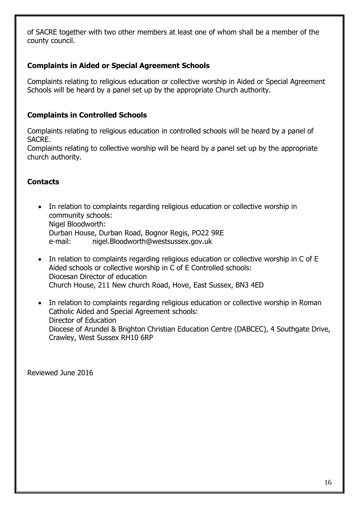of SACRE together with two other members at least one of whom shall be a member of the county council.

## **Complaints in Aided or Special Agreement Schools**

Complaints relating to religious education or collective worship in Aided or Special Agreement Schools will be heard by a panel set up by the appropriate Church authority.

## **Complaints in Controlled Schools**

Complaints relating to religious education in controlled schools will be heard by a panel of SACRE.

Complaints relating to collective worship will be heard by a panel set up by the appropriate church authority.

## **Contacts**

- In relation to complaints regarding religious education or collective worship in community schools: Nigel Bloodworth: Durban House, Durban Road, Bognor Regis, PO22 9RE e-mail: nigel.Bloodworth@westsussex.gov.uk
- In relation to complaints regarding religious education or collective worship in C of E Aided schools or collective worship in C of E Controlled schools: Diocesan Director of education Church House, 211 New church Road, Hove, East Sussex, BN3 4ED
- In relation to complaints regarding religious education or collective worship in Roman Catholic Aided and Special Agreement schools: Director of Education Diocese of Arundel & Brighton Christian Education Centre (DABCEC), 4 Southgate Drive, Crawley, West Sussex RH10 6RP

Reviewed June 2016